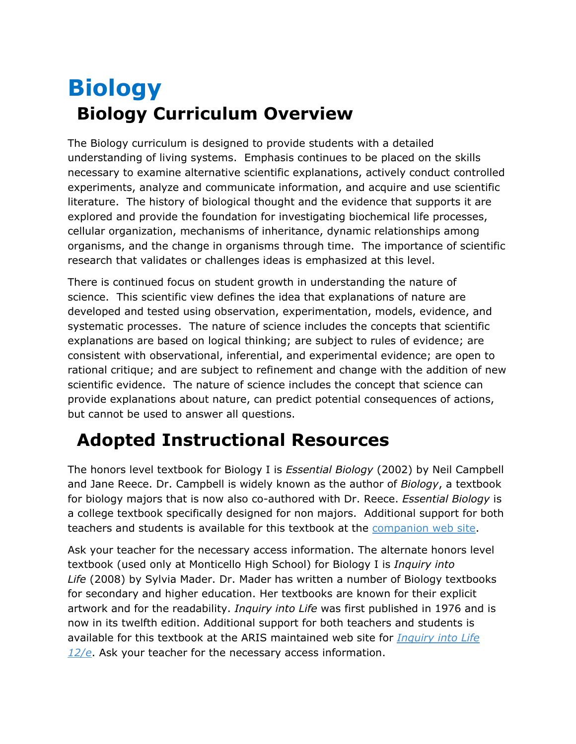## **Biology Biology Curriculum Overview**

The Biology curriculum is designed to provide students with a detailed understanding of living systems. Emphasis continues to be placed on the skills necessary to examine alternative scientific explanations, actively conduct controlled experiments, analyze and communicate information, and acquire and use scientific literature. The history of biological thought and the evidence that supports it are explored and provide the foundation for investigating biochemical life processes, cellular organization, mechanisms of inheritance, dynamic relationships among organisms, and the change in organisms through time. The importance of scientific research that validates or challenges ideas is emphasized at this level.

There is continued focus on student growth in understanding the nature of science. This scientific view defines the idea that explanations of nature are developed and tested using observation, experimentation, models, evidence, and systematic processes. The nature of science includes the concepts that scientific explanations are based on logical thinking; are subject to rules of evidence; are consistent with observational, inferential, and experimental evidence; are open to rational critique; and are subject to refinement and change with the addition of new scientific evidence. The nature of science includes the concept that science can provide explanations about nature, can predict potential consequences of actions, but cannot be used to answer all questions.

## **Adopted Instructional Resources**

The honors level textbook for Biology I is *Essential Biology* (2002) by Neil Campbell and Jane Reece. Dr. Campbell is widely known as the author of *Biology*, a textbook for biology majors that is now also co-authored with Dr. Reece. *Essential Biology* is a college textbook specifically designed for non majors. Additional support for both teachers and students is available for this textbook at the [companion web site.](http://occawlonline.pearsoned.com/sms_files/ebplace_awl/login.html)

Ask your teacher for the necessary access information. The alternate honors level textbook (used only at Monticello High School) for Biology I is *Inquiry into Life* (2008) by Sylvia Mader. Dr. Mader has written a number of Biology textbooks for secondary and higher education. Her textbooks are known for their explicit artwork and for the readability. *Inquiry into Life* was first published in 1976 and is now in its twelfth edition. Additional support for both teachers and students is available for this textbook at the ARIS maintained web site for *[Inquiry into Life](http://highered.mcgraw-hill.com/classware/infoCenter.do?isbn=0072986751)  [12/e](http://highered.mcgraw-hill.com/classware/infoCenter.do?isbn=0072986751)*. Ask your teacher for the necessary access information.